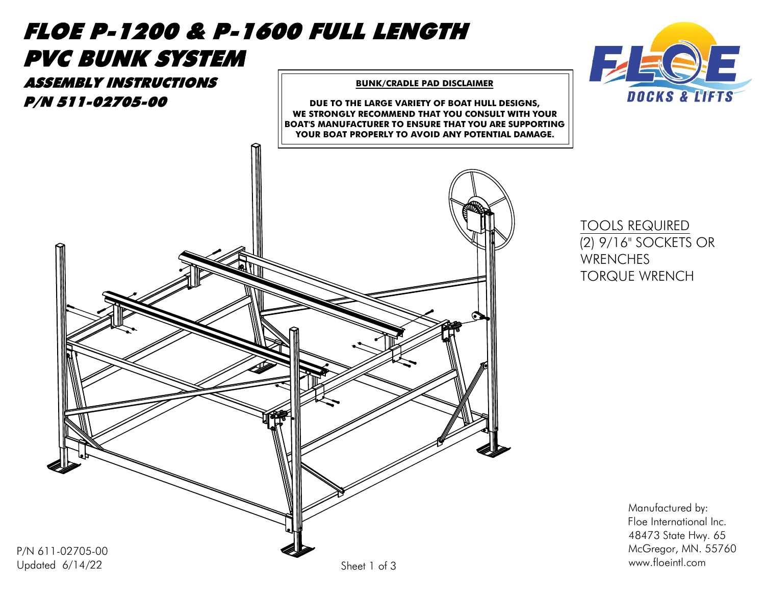



Manufactured by: Floe International Inc. Manufactured by:<br>Floe International Inc.<br>48473 State Hwy. 65 Manufactured by:<br>Floe International Inc.<br>48473 State Hwy. 65<br>McGregor, MN. 55760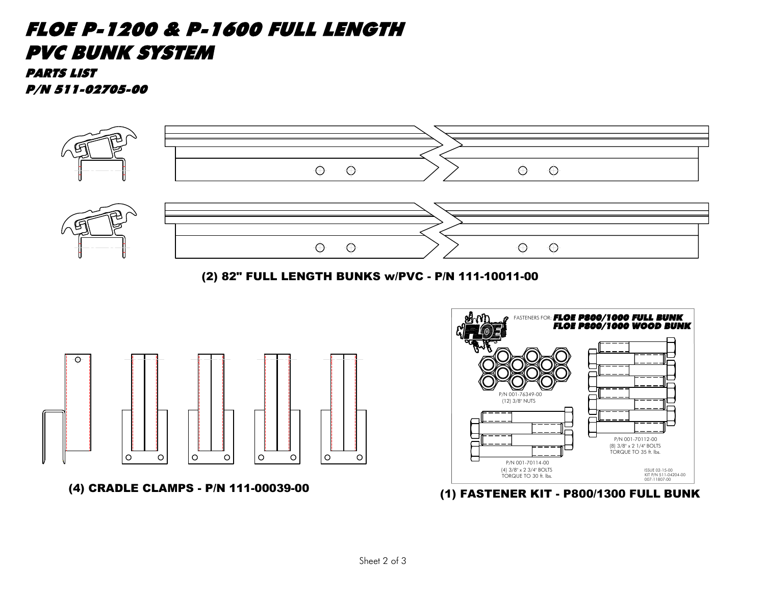